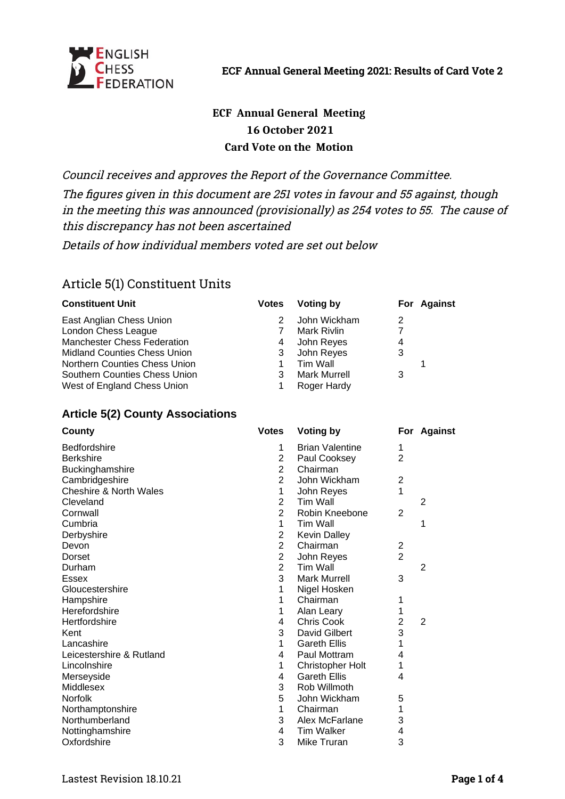

# **ECF Annual General Meeting 16 October 2021 Card Vote on the Motion**

Council receives and approves the Report of the Governance Committee.

The figures given in this document are 251 votes in favour and 55 against, though in the meeting this was announced (provisionally) as 254 votes to 55. The cause of this discrepancy has not been ascertained

Details of how individual members voted are set out below

# Article 5(1) Constituent Units

| <b>Votes</b> | Voting by           |   | For Against |
|--------------|---------------------|---|-------------|
|              | John Wickham        | 2 |             |
|              | <b>Mark Rivlin</b>  |   |             |
| 4            | John Reyes          | 4 |             |
| 3            | John Reyes          | 3 |             |
|              | Tim Wall            |   |             |
| 3            | <b>Mark Murrell</b> | 3 |             |
|              | Roger Hardy         |   |             |
|              |                     |   |             |

#### **Article 5(2) County Associations**

| County                   | <b>Votes</b>   | Voting by               |                | For Against    |
|--------------------------|----------------|-------------------------|----------------|----------------|
| Bedfordshire             | 1              | <b>Brian Valentine</b>  | 1              |                |
| <b>Berkshire</b>         | $\overline{c}$ | Paul Cooksey            | 2              |                |
| Buckinghamshire          | $\overline{2}$ | Chairman                |                |                |
| Cambridgeshire           | $\overline{2}$ | John Wickham            | 2              |                |
| Cheshire & North Wales   | 1              | John Reyes              | 1              |                |
| Cleveland                | $\overline{2}$ | <b>Tim Wall</b>         |                | $\overline{2}$ |
| Cornwall                 | $\overline{2}$ | Robin Kneebone          | 2              |                |
| Cumbria                  | $\mathbf{1}$   | <b>Tim Wall</b>         |                | 1              |
| Derbyshire               | $\overline{2}$ | Kevin Dalley            |                |                |
| Devon                    | $\overline{2}$ | Chairman                | $\overline{2}$ |                |
| Dorset                   | $\overline{2}$ | John Reyes              | $\overline{2}$ |                |
| Durham                   | $\overline{2}$ | <b>Tim Wall</b>         |                | $\overline{2}$ |
| <b>Essex</b>             | 3              | <b>Mark Murrell</b>     | 3              |                |
| Gloucestershire          | 1              | Nigel Hosken            |                |                |
| Hampshire                | $\mathbf{1}$   | Chairman                | 1              |                |
| Herefordshire            | $\mathbf 1$    | Alan Leary              | 1              |                |
| Hertfordshire            | 4              | Chris Cook              | $\overline{2}$ | 2              |
| Kent                     | 3              | David Gilbert           | 3              |                |
| Lancashire               | $\mathbf{1}$   | <b>Gareth Ellis</b>     | 1              |                |
| Leicestershire & Rutland | 4              | Paul Mottram            | 4              |                |
| Lincolnshire             | $\mathbf 1$    | <b>Christopher Holt</b> | $\mathbf 1$    |                |
| Merseyside               | 4              | <b>Gareth Ellis</b>     | 4              |                |
| Middlesex                | 3              | Rob Willmoth            |                |                |
| <b>Norfolk</b>           | 5              | John Wickham            | 5              |                |
| Northamptonshire         | $\mathbf 1$    | Chairman                | 1              |                |
| Northumberland           | 3              | Alex McFarlane          | 3              |                |
| Nottinghamshire          | 4              | <b>Tim Walker</b>       | 4              |                |
| Oxfordshire              | 3              | Mike Truran             | 3              |                |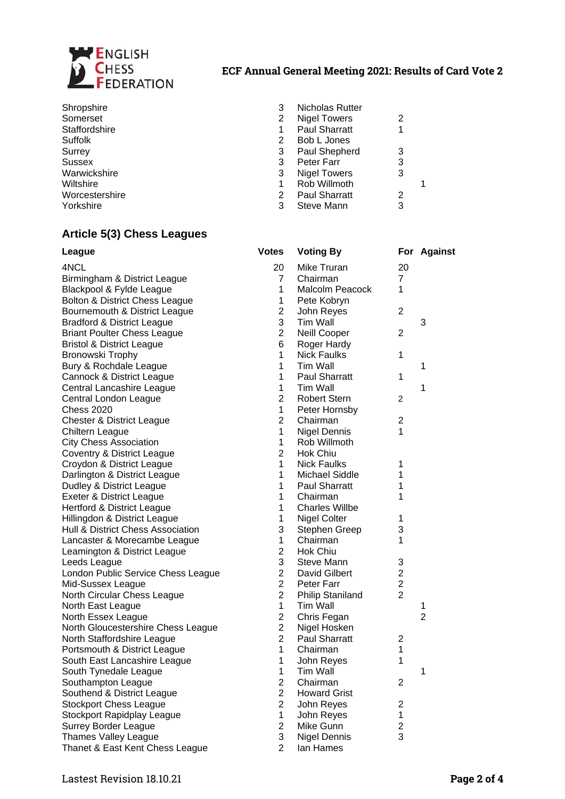

#### **ECF Annual General Meeting 2021: Results of Card Vote 2**

| Shropshire     |   | Nicholas Rutter      |   |  |
|----------------|---|----------------------|---|--|
| Somerset       |   | Nigel Towers         | 2 |  |
| Staffordshire  |   | <b>Paul Sharratt</b> | 1 |  |
| Suffolk        | 2 | Bob L Jones          |   |  |
| Surrey         | 3 | Paul Shepherd        | 3 |  |
| <b>Sussex</b>  | 3 | Peter Farr           | 3 |  |
| Warwickshire   | 3 | Nigel Towers         | 3 |  |
| Wiltshire      |   | Rob Willmoth         |   |  |
| Worcestershire |   | <b>Paul Sharratt</b> | 2 |  |
| Yorkshire      |   | Steve Mann           | 3 |  |

#### **Article 5(3) Chess Leagues**

| League                                | <b>Votes</b>   | <b>Voting By</b>        |                | For Against    |
|---------------------------------------|----------------|-------------------------|----------------|----------------|
| 4NCL                                  | 20             | Mike Truran             | 20             |                |
| Birmingham & District League          | 7              | Chairman                | 7              |                |
| Blackpool & Fylde League              | $\mathbf 1$    | <b>Malcolm Peacock</b>  | 1              |                |
| Bolton & District Chess League        | 1              | Pete Kobryn             |                |                |
| Bournemouth & District League         | $\overline{c}$ | John Reyes              | $\overline{2}$ |                |
| <b>Bradford &amp; District League</b> | 3              | Tim Wall                |                | 3              |
| <b>Briant Poulter Chess League</b>    | $\overline{2}$ | Neill Cooper            | 2              |                |
| <b>Bristol &amp; District League</b>  | 6              | Roger Hardy             |                |                |
| Bronowski Trophy                      | $\mathbf 1$    | <b>Nick Faulks</b>      | 1              |                |
| Bury & Rochdale League                | $\mathbf 1$    | Tim Wall                |                | 1              |
| Cannock & District League             | 1              | <b>Paul Sharratt</b>    | 1              |                |
| Central Lancashire League             | $\mathbf 1$    | Tim Wall                |                | 1              |
| Central London League                 | $\overline{2}$ | <b>Robert Stern</b>     | $\overline{c}$ |                |
| <b>Chess 2020</b>                     | 1              | Peter Hornsby           |                |                |
| <b>Chester &amp; District League</b>  | $\overline{2}$ | Chairman                | 2              |                |
| Chiltern League                       | 1              | Nigel Dennis            | 1              |                |
| <b>City Chess Association</b>         | 1              | Rob Willmoth            |                |                |
| Coventry & District League            | $\overline{2}$ | Hok Chiu                |                |                |
| Croydon & District League             | $\mathbf 1$    | <b>Nick Faulks</b>      | $\mathbf{1}$   |                |
| Darlington & District League          | $\mathbf 1$    | Michael Siddle          | $\mathbf{1}$   |                |
| Dudley & District League              | $\mathbf 1$    | Paul Sharratt           | 1              |                |
| Exeter & District League              | $\mathbf 1$    | Chairman                | 1              |                |
| Hertford & District League            | $\mathbf 1$    | <b>Charles Willbe</b>   |                |                |
| Hillingdon & District League          | 1              | <b>Nigel Colter</b>     | 1              |                |
| Hull & District Chess Association     | 3              | <b>Stephen Greep</b>    | 3              |                |
| Lancaster & Morecambe League          | $\mathbf 1$    | Chairman                | 1              |                |
| Leamington & District League          | $\overline{2}$ | Hok Chiu                |                |                |
| Leeds League                          | 3              | Steve Mann              | 3              |                |
| London Public Service Chess League    | $\overline{2}$ | David Gilbert           | 2              |                |
| Mid-Sussex League                     | $\overline{2}$ | Peter Farr              | $\overline{c}$ |                |
| North Circular Chess League           | $\overline{2}$ | <b>Philip Staniland</b> | $\overline{2}$ |                |
| North East League                     | $\mathbf{1}$   | Tim Wall                |                | 1              |
| North Essex League                    | $\overline{2}$ | Chris Fegan             |                | $\overline{2}$ |
| North Gloucestershire Chess League    | $\overline{c}$ | Nigel Hosken            |                |                |
| North Staffordshire League            | $\overline{2}$ | <b>Paul Sharratt</b>    | $\overline{c}$ |                |
| Portsmouth & District League          | $\mathbf{1}$   | Chairman                | 1              |                |
| South East Lancashire League          | 1              | John Reyes              | 1              |                |
| South Tynedale League                 | 1              | Tim Wall                |                | 1              |
| Southampton League                    | 2              | Chairman                | $\overline{c}$ |                |
| Southend & District League            | $\overline{c}$ | <b>Howard Grist</b>     |                |                |
| <b>Stockport Chess League</b>         | $\overline{c}$ | John Reyes              | 2              |                |
| <b>Stockport Rapidplay League</b>     | 1              | John Reyes              | 1              |                |
| Surrey Border League                  | $\overline{c}$ | Mike Gunn               | $\overline{c}$ |                |
| Thames Valley League                  | 3              | <b>Nigel Dennis</b>     | 3              |                |
| Thanet & East Kent Chess League       | $\overline{2}$ | Ian Hames               |                |                |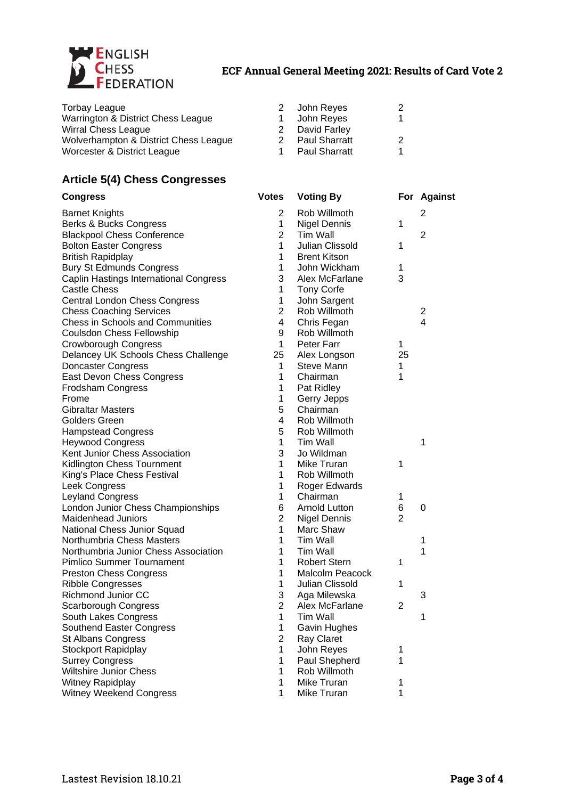

## **ECF Annual General Meeting 2021: Results of Card Vote 2**

| Torbay League                         | $\mathcal{P}$ | John Reyes           | 2 |
|---------------------------------------|---------------|----------------------|---|
| Warrington & District Chess League    |               | John Reyes           |   |
| Wirral Chess League                   |               | David Farley         |   |
| Wolverhampton & District Chess League | 2             | <b>Paul Sharratt</b> | 2 |
| Worcester & District League           |               | <b>Paul Sharratt</b> | 1 |

## **Article 5(4) Chess Congresses**

| <b>Congress</b>                        | <b>Votes</b>   | <b>Voting By</b>       |                | For Against    |
|----------------------------------------|----------------|------------------------|----------------|----------------|
| <b>Barnet Knights</b>                  | 2              | Rob Willmoth           |                | 2              |
| Berks & Bucks Congress                 | 1              | Nigel Dennis           | 1              |                |
| <b>Blackpool Chess Conference</b>      | $\overline{2}$ | <b>Tim Wall</b>        |                | $\overline{2}$ |
| <b>Bolton Easter Congress</b>          | $\mathbf{1}$   | Julian Clissold        | 1              |                |
| <b>British Rapidplay</b>               | 1              | <b>Brent Kitson</b>    |                |                |
| <b>Bury St Edmunds Congress</b>        | $\mathbf 1$    | John Wickham           | 1              |                |
| Caplin Hastings International Congress | 3              | Alex McFarlane         | 3              |                |
| <b>Castle Chess</b>                    | 1              | Tony Corfe             |                |                |
| Central London Chess Congress          | $\mathbf 1$    | John Sargent           |                |                |
| <b>Chess Coaching Services</b>         | $\overline{2}$ | Rob Willmoth           |                | $\overline{c}$ |
| Chess in Schools and Communities       | 4              | Chris Fegan            |                | 4              |
| Coulsdon Chess Fellowship              | 9              | Rob Willmoth           |                |                |
| Crowborough Congress                   | 1              | Peter Farr             | 1              |                |
| Delancey UK Schools Chess Challenge    | 25             | Alex Longson           | 25             |                |
| <b>Doncaster Congress</b>              | $\mathbf{1}$   | <b>Steve Mann</b>      | 1              |                |
| East Devon Chess Congress              | $\mathbf{1}$   | Chairman               | 1              |                |
| Frodsham Congress                      | 1              | Pat Ridley             |                |                |
| Frome                                  | $\mathbf 1$    | Gerry Jepps            |                |                |
| <b>Gibraltar Masters</b>               | 5              | Chairman               |                |                |
| <b>Golders Green</b>                   | 4              | Rob Willmoth           |                |                |
| <b>Hampstead Congress</b>              | 5              | Rob Willmoth           |                |                |
| <b>Heywood Congress</b>                | $\mathbf 1$    | <b>Tim Wall</b>        |                | $\mathbf{1}$   |
| Kent Junior Chess Association          | 3              | Jo Wildman             |                |                |
| Kidlington Chess Tournment             | 1              | Mike Truran            | 1              |                |
| King's Place Chess Festival            | $\mathbf{1}$   | Rob Willmoth           |                |                |
| Leek Congress                          | 1              | Roger Edwards          |                |                |
| Leyland Congress                       | $\mathbf{1}$   | Chairman               | 1              |                |
| London Junior Chess Championships      | 6              | <b>Arnold Lutton</b>   | 6              | 0              |
| <b>Maidenhead Juniors</b>              | $\overline{2}$ | <b>Nigel Dennis</b>    | 2              |                |
| National Chess Junior Squad            | $\mathbf{1}$   | Marc Shaw              |                |                |
| Northumbria Chess Masters              | $\mathbf 1$    | <b>Tim Wall</b>        |                | 1              |
| Northumbria Junior Chess Association   | $\mathbf 1$    | Tim Wall               |                | $\mathbf 1$    |
| <b>Pimlico Summer Tournament</b>       | $\mathbf 1$    | <b>Robert Stern</b>    | 1              |                |
| <b>Preston Chess Congress</b>          | $\mathbf 1$    | <b>Malcolm Peacock</b> |                |                |
| <b>Ribble Congresses</b>               | 1              | Julian Clissold        | 1              |                |
| Richmond Junior CC                     | 3              | Aga Milewska           |                | 3              |
| <b>Scarborough Congress</b>            | $\overline{2}$ | Alex McFarlane         | $\overline{c}$ |                |
| South Lakes Congress                   | 1              | Tim Wall               |                | 1              |
| Southend Easter Congress               | 1              | Gavin Hughes           |                |                |
| <b>St Albans Congress</b>              | $\overline{c}$ | Ray Claret             |                |                |
| <b>Stockport Rapidplay</b>             | 1              | John Reyes             | 1              |                |
| <b>Surrey Congress</b>                 | $\mathbf 1$    | Paul Shepherd          | 1              |                |
| Wiltshire Junior Chess                 | 1              | Rob Willmoth           |                |                |
| Witney Rapidplay                       | 1              | Mike Truran            | 1              |                |
| Witney Weekend Congress                | 1              | Mike Truran            | 1              |                |